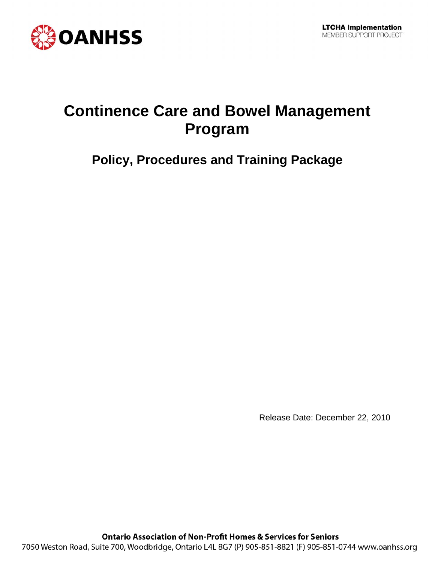

# **Continence Care and Bowel Management Program**

# **Policy, Procedures and Training Package**

Release Date: December 22, 2010

**Ontario Association of Non-Profit Homes & Services for Seniors** 7050 Weston Road, Suite 700, Woodbridge, Ontario L4L 8G7 (P) 905-851-8821 (F) 905-851-0744 www.oanhss.org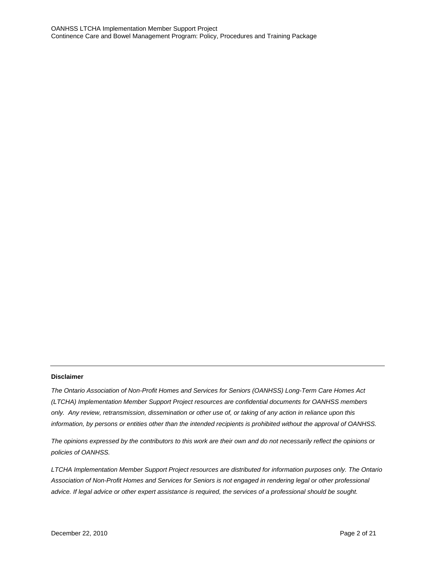#### **Disclaimer**

*The Ontario Association of Non-Profit Homes and Services for Seniors (OANHSS) Long-Term Care Homes Act (LTCHA) Implementation Member Support Project resources are confidential documents for OANHSS members only. Any review, retransmission, dissemination or other use of, or taking of any action in reliance upon this information, by persons or entities other than the intended recipients is prohibited without the approval of OANHSS.*

*The opinions expressed by the contributors to this work are their own and do not necessarily reflect the opinions or policies of OANHSS.*

*LTCHA Implementation Member Support Project resources are distributed for information purposes only. The Ontario Association of Non-Profit Homes and Services for Seniors is not engaged in rendering legal or other professional advice. If legal advice or other expert assistance is required, the services of a professional should be sought.*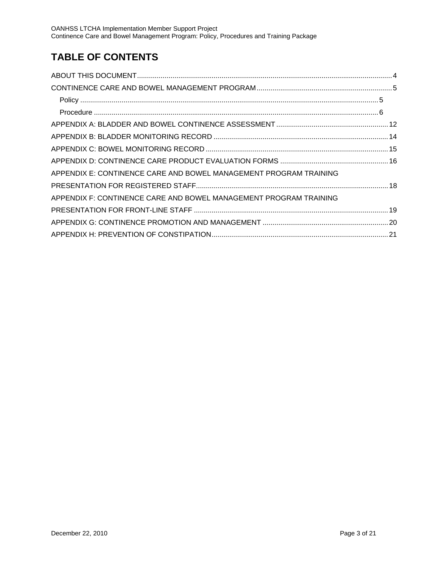## **TABLE OF CONTENTS**

| APPENDIX E: CONTINENCE CARE AND BOWEL MANAGEMENT PROGRAM TRAINING |  |
|-------------------------------------------------------------------|--|
|                                                                   |  |
| APPENDIX F: CONTINENCE CARE AND BOWEL MANAGEMENT PROGRAM TRAINING |  |
|                                                                   |  |
|                                                                   |  |
|                                                                   |  |
|                                                                   |  |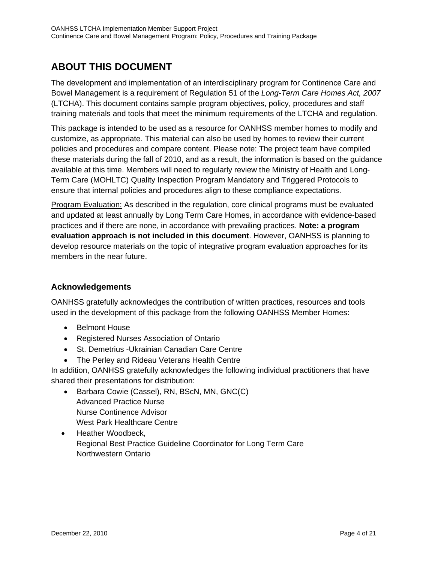## **ABOUT THIS DOCUMENT**

The development and implementation of an interdisciplinary program for Continence Care and Bowel Management is a requirement of Regulation 51 of the *Long-Term Care Homes Act, 2007*  (LTCHA). This document contains sample program objectives, policy, procedures and staff training materials and tools that meet the minimum requirements of the LTCHA and regulation.

This package is intended to be used as a resource for OANHSS member homes to modify and customize, as appropriate. This material can also be used by homes to review their current policies and procedures and compare content. Please note: The project team have compiled these materials during the fall of 2010, and as a result, the information is based on the guidance available at this time. Members will need to regularly review the Ministry of Health and Long-Term Care (MOHLTC) Quality Inspection Program Mandatory and Triggered Protocols to ensure that internal policies and procedures align to these compliance expectations.

Program Evaluation: As described in the regulation, core clinical programs must be evaluated and updated at least annually by Long Term Care Homes, in accordance with evidence-based practices and if there are none, in accordance with prevailing practices. **Note: a program evaluation approach is not included in this document**. However, OANHSS is planning to develop resource materials on the topic of integrative program evaluation approaches for its members in the near future.

## **Acknowledgements**

OANHSS gratefully acknowledges the contribution of written practices, resources and tools used in the development of this package from the following OANHSS Member Homes:

- Belmont House
- Registered Nurses Association of Ontario
- St. Demetrius -Ukrainian Canadian Care Centre
- The Perley and Rideau Veterans Health Centre

In addition, OANHSS gratefully acknowledges the following individual practitioners that have shared their presentations for distribution:

- Barbara Cowie (Cassel), RN, BScN, MN, GNC(C) Advanced Practice Nurse Nurse Continence Advisor West Park Healthcare Centre
- Heather Woodbeck, Regional Best Practice Guideline Coordinator for Long Term Care Northwestern Ontario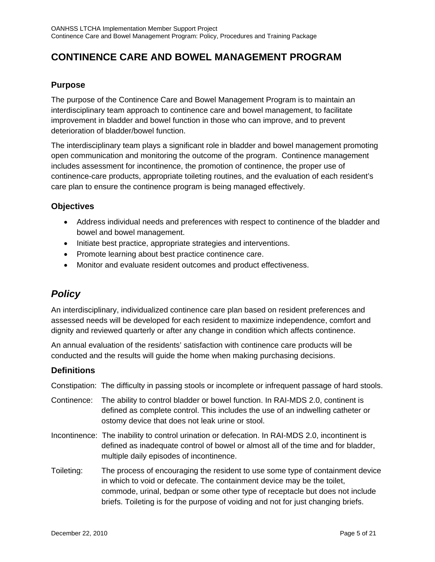## **CONTINENCE CARE AND BOWEL MANAGEMENT PROGRAM**

## **Purpose**

The purpose of the Continence Care and Bowel Management Program is to maintain an interdisciplinary team approach to continence care and bowel management, to facilitate improvement in bladder and bowel function in those who can improve, and to prevent deterioration of bladder/bowel function.

The interdisciplinary team plays a significant role in bladder and bowel management promoting open communication and monitoring the outcome of the program. Continence management includes assessment for incontinence, the promotion of continence, the proper use of continence-care products, appropriate toileting routines, and the evaluation of each resident's care plan to ensure the continence program is being managed effectively.

### **Objectives**

- Address individual needs and preferences with respect to continence of the bladder and bowel and bowel management.
- Initiate best practice, appropriate strategies and interventions.
- Promote learning about best practice continence care.
- Monitor and evaluate resident outcomes and product effectiveness.

## *Policy*

An interdisciplinary, individualized continence care plan based on resident preferences and assessed needs will be developed for each resident to maximize independence, comfort and dignity and reviewed quarterly or after any change in condition which affects continence.

An annual evaluation of the residents' satisfaction with continence care products will be conducted and the results will guide the home when making purchasing decisions.

### **Definitions**

Constipation: The difficulty in passing stools or incomplete or infrequent passage of hard stools.

- Continence: The ability to control bladder or bowel function. In RAI-MDS 2.0, continent is defined as complete control. This includes the use of an indwelling catheter or ostomy device that does not leak urine or stool.
- Incontinence: The inability to control urination or defecation. In RAI-MDS 2.0, incontinent is defined as inadequate control of bowel or almost all of the time and for bladder, multiple daily episodes of incontinence.
- Toileting: The process of encouraging the resident to use some type of containment device in which to void or defecate. The containment device may be the toilet, commode, urinal, bedpan or some other type of receptacle but does not include briefs. Toileting is for the purpose of voiding and not for just changing briefs.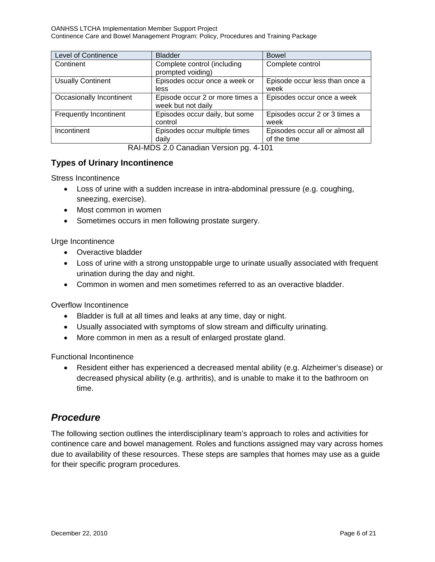| <b>Level of Continence</b> | <b>Bladder</b>                                        | <b>Bowel</b>                                    |
|----------------------------|-------------------------------------------------------|-------------------------------------------------|
| Continent                  | Complete control (including<br>prompted voiding)      | Complete control                                |
| <b>Usually Continent</b>   | Episodes occur once a week or<br>less                 | Episode occur less than once a<br>week          |
| Occasionally Incontinent   | Episode occur 2 or more times a<br>week but not daily | Episodes occur once a week                      |
| Frequently Incontinent     | Episodes occur daily, but some<br>control             | Episodes occur 2 or 3 times a<br>week           |
| Incontinent                | Episodes occur multiple times<br>daily                | Episodes occur all or almost all<br>of the time |

RAI-MDS 2.0 Canadian Version pg. 4-101

## **Types of Urinary Incontinence**

Stress Incontinence

- Loss of urine with a sudden increase in intra-abdominal pressure (e.g. coughing, sneezing, exercise).
- Most common in women
- Sometimes occurs in men following prostate surgery.

### Urge Incontinence

- Overactive bladder
- Loss of urine with a strong unstoppable urge to urinate usually associated with frequent urination during the day and night.
- Common in women and men sometimes referred to as an overactive bladder.

Overflow Incontinence

- Bladder is full at all times and leaks at any time, day or night.
- Usually associated with symptoms of slow stream and difficulty urinating.
- More common in men as a result of enlarged prostate gland.

Functional Incontinence

• Resident either has experienced a decreased mental ability (e.g. Alzheimer's disease) or decreased physical ability (e.g. arthritis), and is unable to make it to the bathroom on time.

## *Procedure*

The following section outlines the interdisciplinary team's approach to roles and activities for continence care and bowel management. Roles and functions assigned may vary across homes due to availability of these resources. These steps are samples that homes may use as a guide for their specific program procedures.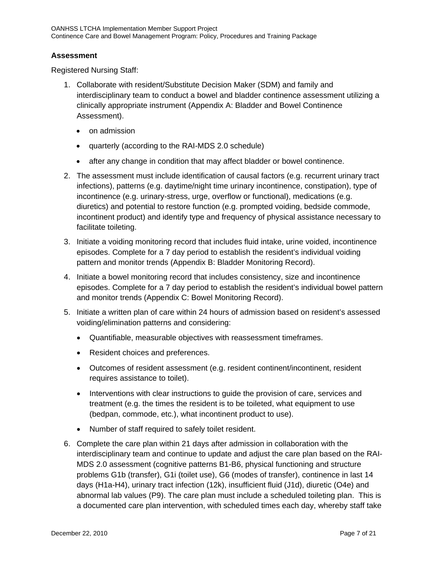### **Assessment**

Registered Nursing Staff:

- 1. Collaborate with resident/Substitute Decision Maker (SDM) and family and interdisciplinary team to conduct a bowel and bladder continence assessment utilizing a clinically appropriate instrument (Appendix A: Bladder and Bowel Continence Assessment).
	- on admission
	- quarterly (according to the RAI-MDS 2.0 schedule)
	- after any change in condition that may affect bladder or bowel continence.
- 2. The assessment must include identification of causal factors (e.g. recurrent urinary tract infections), patterns (e.g. daytime/night time urinary incontinence, constipation), type of incontinence (e.g. urinary-stress, urge, overflow or functional), medications (e.g. diuretics) and potential to restore function (e.g. prompted voiding, bedside commode, incontinent product) and identify type and frequency of physical assistance necessary to facilitate toileting.
- 3. Initiate a voiding monitoring record that includes fluid intake, urine voided, incontinence episodes. Complete for a 7 day period to establish the resident's individual voiding pattern and monitor trends (Appendix B: Bladder Monitoring Record).
- 4. Initiate a bowel monitoring record that includes consistency, size and incontinence episodes. Complete for a 7 day period to establish the resident's individual bowel pattern and monitor trends (Appendix C: Bowel Monitoring Record).
- 5. Initiate a written plan of care within 24 hours of admission based on resident's assessed voiding/elimination patterns and considering:
	- Quantifiable, measurable objectives with reassessment timeframes.
	- Resident choices and preferences.
	- Outcomes of resident assessment (e.g. resident continent/incontinent, resident requires assistance to toilet).
	- Interventions with clear instructions to quide the provision of care, services and treatment (e.g. the times the resident is to be toileted, what equipment to use (bedpan, commode, etc.), what incontinent product to use).
	- Number of staff required to safely toilet resident.
- 6. Complete the care plan within 21 days after admission in collaboration with the interdisciplinary team and continue to update and adjust the care plan based on the RAI-MDS 2.0 assessment (cognitive patterns B1-B6, physical functioning and structure problems G1b (transfer), G1i (toilet use), G6 (modes of transfer), continence in last 14 days (H1a-H4), urinary tract infection (12k), insufficient fluid (J1d), diuretic (O4e) and abnormal lab values (P9). The care plan must include a scheduled toileting plan. This is a documented care plan intervention, with scheduled times each day, whereby staff take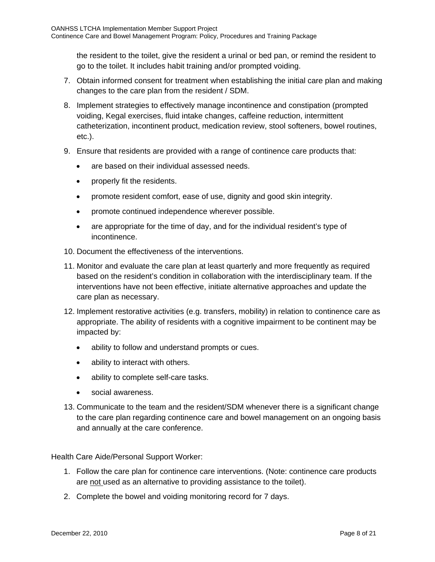the resident to the toilet, give the resident a urinal or bed pan, or remind the resident to go to the toilet. It includes habit training and/or prompted voiding.

- 7. Obtain informed consent for treatment when establishing the initial care plan and making changes to the care plan from the resident / SDM.
- 8. Implement strategies to effectively manage incontinence and constipation (prompted voiding, Kegal exercises, fluid intake changes, caffeine reduction, intermittent catheterization, incontinent product, medication review, stool softeners, bowel routines, etc.).
- 9. Ensure that residents are provided with a range of continence care products that:
	- are based on their individual assessed needs.
	- properly fit the residents.
	- promote resident comfort, ease of use, dignity and good skin integrity.
	- promote continued independence wherever possible.
	- are appropriate for the time of day, and for the individual resident's type of incontinence.
- 10. Document the effectiveness of the interventions.
- 11. Monitor and evaluate the care plan at least quarterly and more frequently as required based on the resident's condition in collaboration with the interdisciplinary team. If the interventions have not been effective, initiate alternative approaches and update the care plan as necessary.
- 12. Implement restorative activities (e.g. transfers, mobility) in relation to continence care as appropriate. The ability of residents with a cognitive impairment to be continent may be impacted by:
	- ability to follow and understand prompts or cues.
	- ability to interact with others.
	- ability to complete self-care tasks.
	- social awareness.
- 13. Communicate to the team and the resident/SDM whenever there is a significant change to the care plan regarding continence care and bowel management on an ongoing basis and annually at the care conference.

Health Care Aide/Personal Support Worker:

- 1. Follow the care plan for continence care interventions. (Note: continence care products are not used as an alternative to providing assistance to the toilet).
- 2. Complete the bowel and voiding monitoring record for 7 days.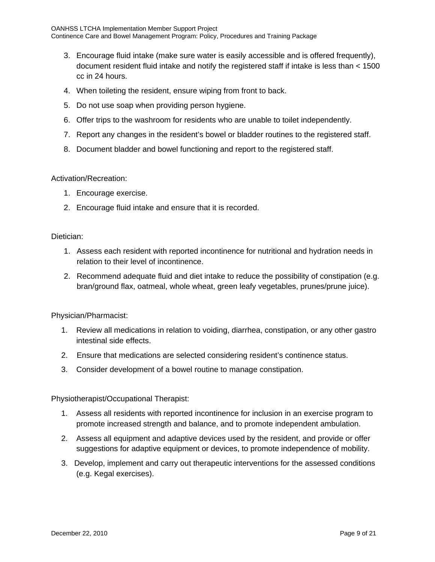- 3. Encourage fluid intake (make sure water is easily accessible and is offered frequently), document resident fluid intake and notify the registered staff if intake is less than < 1500 cc in 24 hours.
- 4. When toileting the resident, ensure wiping from front to back.
- 5. Do not use soap when providing person hygiene.
- 6. Offer trips to the washroom for residents who are unable to toilet independently.
- 7. Report any changes in the resident's bowel or bladder routines to the registered staff.
- 8. Document bladder and bowel functioning and report to the registered staff.

### Activation/Recreation:

- 1. Encourage exercise.
- 2. Encourage fluid intake and ensure that it is recorded.

### Dietician:

- 1. Assess each resident with reported incontinence for nutritional and hydration needs in relation to their level of incontinence.
- 2. Recommend adequate fluid and diet intake to reduce the possibility of constipation (e.g. bran/ground flax, oatmeal, whole wheat, green leafy vegetables, prunes/prune juice).

Physician/Pharmacist:

- 1. Review all medications in relation to voiding, diarrhea, constipation, or any other gastro intestinal side effects.
- 2. Ensure that medications are selected considering resident's continence status.
- 3. Consider development of a bowel routine to manage constipation.

Physiotherapist/Occupational Therapist:

- 1. Assess all residents with reported incontinence for inclusion in an exercise program to promote increased strength and balance, and to promote independent ambulation.
- 2. Assess all equipment and adaptive devices used by the resident, and provide or offer suggestions for adaptive equipment or devices, to promote independence of mobility.
- 3. Develop, implement and carry out therapeutic interventions for the assessed conditions (e.g. Kegal exercises).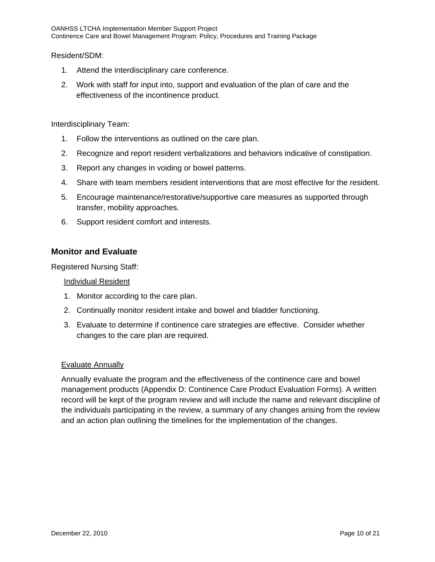Resident/SDM:

- 1. Attend the interdisciplinary care conference.
- 2. Work with staff for input into, support and evaluation of the plan of care and the effectiveness of the incontinence product.

Interdisciplinary Team:

- 1. Follow the interventions as outlined on the care plan.
- 2. Recognize and report resident verbalizations and behaviors indicative of constipation.
- 3. Report any changes in voiding or bowel patterns.
- 4. Share with team members resident interventions that are most effective for the resident.
- 5. Encourage maintenance/restorative/supportive care measures as supported through transfer, mobility approaches.
- 6. Support resident comfort and interests.

### **Monitor and Evaluate**

Registered Nursing Staff:

### Individual Resident

- 1. Monitor according to the care plan.
- 2. Continually monitor resident intake and bowel and bladder functioning.
- 3. Evaluate to determine if continence care strategies are effective. Consider whether changes to the care plan are required.

### Evaluate Annually

Annually evaluate the program and the effectiveness of the continence care and bowel management products (Appendix D: Continence Care Product Evaluation Forms). A written record will be kept of the program review and will include the name and relevant discipline of the individuals participating in the review, a summary of any changes arising from the review and an action plan outlining the timelines for the implementation of the changes.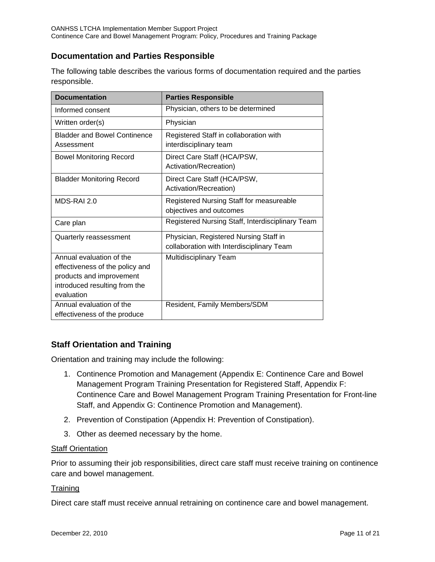## **Documentation and Parties Responsible**

The following table describes the various forms of documentation required and the parties responsible.

| <b>Documentation</b>                                                                                                                   | <b>Parties Responsible</b>                                                          |
|----------------------------------------------------------------------------------------------------------------------------------------|-------------------------------------------------------------------------------------|
| Informed consent                                                                                                                       | Physician, others to be determined                                                  |
| Written order(s)                                                                                                                       | Physician                                                                           |
| <b>Bladder and Bowel Continence</b><br>Assessment                                                                                      | Registered Staff in collaboration with<br>interdisciplinary team                    |
| <b>Bowel Monitoring Record</b>                                                                                                         | Direct Care Staff (HCA/PSW,<br>Activation/Recreation)                               |
| <b>Bladder Monitoring Record</b>                                                                                                       | Direct Care Staff (HCA/PSW,<br>Activation/Recreation)                               |
| MDS-RAI 2.0                                                                                                                            | Registered Nursing Staff for measureable<br>objectives and outcomes                 |
| Care plan                                                                                                                              | Registered Nursing Staff, Interdisciplinary Team                                    |
| Quarterly reassessment                                                                                                                 | Physician, Registered Nursing Staff in<br>collaboration with Interdisciplinary Team |
| Annual evaluation of the<br>effectiveness of the policy and<br>products and improvement<br>introduced resulting from the<br>evaluation | Multidisciplinary Team                                                              |
| Annual evaluation of the<br>effectiveness of the produce                                                                               | Resident, Family Members/SDM                                                        |

## **Staff Orientation and Training**

Orientation and training may include the following:

- 1. Continence Promotion and Management (Appendix E: Continence Care and Bowel Management Program Training Presentation for Registered Staff, Appendix F: Continence Care and Bowel Management Program Training Presentation for Front-line Staff, and Appendix G: Continence Promotion and Management).
- 2. Prevention of Constipation (Appendix H: Prevention of Constipation).
- 3. Other as deemed necessary by the home.

### **Staff Orientation**

Prior to assuming their job responsibilities, direct care staff must receive training on continence care and bowel management.

### **Training**

Direct care staff must receive annual retraining on continence care and bowel management.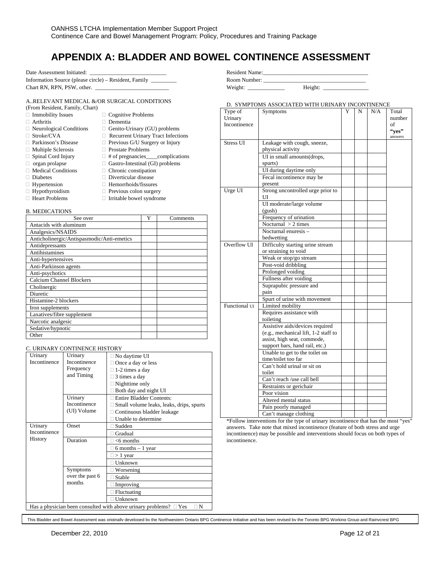## **APPENDIX A: BLADDER AND BOWEL CONTINENCE ASSESSMENT**

Date Assessment Initiated:

Information Source (please circle) – Resident, Family \_\_\_\_\_\_\_\_\_ Chart RN, RPN, PSW, other.

#### A..RELEVANT MEDICAL &/OR SURGICAL CONDITIONS

□ Previous G/U Surgery or Injury

 $\Box$  # of pregnancies\_\_\_complications

| (From Resident, Family, Chart) |                           |
|--------------------------------|---------------------------|
| $\Box$ Immobility Issues       | $\Box$ Cognitive Problems |

- Arthritis Dementia
- 
- $\Box$  Neurological Conditions  $\Box$  Genito-Urinary (GU) problems
- $\begin{tabular}{ll} $\Box$ Stroke/CVA$ & $\quad \Box$ Recurrent University Tract Infections \\ $\Box$ Parkinson's Disease & $\quad \Box$ Previous G/U Surgery or Injury \\ \end{tabular}$
- 
- $\Box$  Multiple Sclerosis  $\Box$  Prostate Problems<br> $\Box$  Spinal Cord Injury  $\Box$  # of pregnancies
- 
- $\Box$  organ prolapse  $\Box$  Gastro-Intestinal (GI) problems
- $\Box$  Medical Conditions  $\Box$  Chronic constipation
- Diabetes Diverticular disease

- $\Box$  Hypertension  $\Box$  Hemorrhoids/fissures  $\Box$  Hypothyroidism  $\Box$  Previous colon surger
	- $\Box$  Previous colon surgery
- $\Box$  Heart Problems  $\Box$  Irritable bowel syndrome

#### B. MEDICATIONS

| See over                                   | Y | Comments |
|--------------------------------------------|---|----------|
| Antacids with aluminum                     |   |          |
| Analgesics/NSAIDS                          |   |          |
| Anticholinergic/Antispasmodic/Anti-emetics |   |          |
| Antidepressants                            |   |          |
| <b>Antihistamines</b>                      |   |          |
| Anti-hypertensives                         |   |          |
| Anti-Parkinson agents                      |   |          |
| Anti-psychotics                            |   |          |
| <b>Calcium Channel Blockers</b>            |   |          |
| Cholinergic                                |   |          |
| Diuretic                                   |   |          |
| Histamine-2 blockers                       |   |          |
| Iron supplements                           |   |          |
| Laxatives/fibre supplement                 |   |          |
| Narcotic analgesic                         |   |          |
| Sedative/hypnotic                          |   |          |
| Other                                      |   |          |

#### C. URINARY CONTINENCE HISTORY

| Urinary      | Urinary         | No daytime UI                                                                         |
|--------------|-----------------|---------------------------------------------------------------------------------------|
| Incontinence | Incontinence    | Once a day or less                                                                    |
|              | Frequency       | 1-2 times a day                                                                       |
|              | and Timing      | 3 times a day                                                                         |
|              |                 | Nighttime only                                                                        |
|              |                 | Both day and night UI                                                                 |
|              | Urinary         | <b>Entire Bladder Contents:</b>                                                       |
|              | Incontinence    | Small volume leaks, leaks, drips, spurts                                              |
|              | (UI) Volume     | Continuous bladder leakage                                                            |
|              |                 | Unable to determine                                                                   |
| Urinary      | Onset           | Sudden                                                                                |
| Incontinence |                 | Gradual                                                                               |
| History      | Duration        | $<$ 6 months                                                                          |
|              |                 | $\Box$ 6 months $-1$ year                                                             |
|              |                 | $> 1$ year                                                                            |
|              |                 | Unknown                                                                               |
|              | Symptoms        | Worsening                                                                             |
|              | over the past 6 | Stable                                                                                |
|              | months          | Improving                                                                             |
|              |                 | Fluctuating                                                                           |
|              |                 | Unknown                                                                               |
|              |                 | Has a physician been consulted with above urinary problems? $\Box$ Yes<br>$\exists$ N |

Resident Name: Room Number: \_\_\_\_\_\_\_\_\_\_\_\_\_\_\_\_\_\_\_\_\_\_\_\_\_\_\_\_\_\_\_\_\_\_\_\_ Weight: \_\_\_\_\_\_\_\_\_\_\_\_\_ Height: \_\_\_\_\_\_\_\_\_\_\_\_\_\_\_\_

D. SYMPTOMS ASSOCIATED WITH URINARY INCONTINENCE

| Type of<br>Urinary | Symptoms                                     | Y | N | N/A | Total<br>number |
|--------------------|----------------------------------------------|---|---|-----|-----------------|
| Incontinence       |                                              |   |   |     | of              |
|                    |                                              |   |   |     | "ves"           |
|                    |                                              |   |   |     | answers         |
| <b>Stress UI</b>   | Leakage with cough, sneeze,                  |   |   |     |                 |
|                    | physical activity                            |   |   |     |                 |
|                    | UI in small amounts(drops,                   |   |   |     |                 |
|                    | spurts)                                      |   |   |     |                 |
|                    | UI during daytime only                       |   |   |     |                 |
|                    | Fecal incontinence may be                    |   |   |     |                 |
| Urge UI            | present<br>Strong uncontrolled urge prior to |   |   |     |                 |
|                    | UI                                           |   |   |     |                 |
|                    | UI moderate/large volume                     |   |   |     |                 |
|                    | (gush)                                       |   |   |     |                 |
|                    | Frequency of urination                       |   |   |     |                 |
|                    | Nocturnal $>$ 2 times                        |   |   |     |                 |
|                    | Nocturnal enuresis -                         |   |   |     |                 |
|                    | bedwetting                                   |   |   |     |                 |
| Overflow UI        | Difficulty starting urine stream             |   |   |     |                 |
|                    | or straining to void                         |   |   |     |                 |
|                    | Weak or stop/go stream                       |   |   |     |                 |
|                    | Post-void dribbling                          |   |   |     |                 |
|                    | Prolonged voiding                            |   |   |     |                 |
|                    | Fullness after voiding                       |   |   |     |                 |
|                    | Suprapubic pressure and                      |   |   |     |                 |
|                    | pain                                         |   |   |     |                 |
|                    | Spurt of urine with movement                 |   |   |     |                 |
| Functional UI      | Limited mobility                             |   |   |     |                 |
|                    | Requires assistance with                     |   |   |     |                 |
|                    | toileting                                    |   |   |     |                 |
|                    | Assistive aids/devices required              |   |   |     |                 |
|                    | (e.g., mechanical lift, 1-2 staff to         |   |   |     |                 |
|                    | assist, high seat, commode,                  |   |   |     |                 |
|                    | support bars, hand rail, etc.)               |   |   |     |                 |
|                    | Unable to get to the toilet on               |   |   |     |                 |
|                    | time/toilet too far                          |   |   |     |                 |
|                    | Can't hold urinal or sit on                  |   |   |     |                 |
|                    | toilet                                       |   |   |     |                 |
|                    | Can't reach /use call bell                   |   |   |     |                 |
|                    | Restraints or gerichair                      |   |   |     |                 |
|                    | Poor vision                                  |   |   |     |                 |
|                    | Altered mental status                        |   |   |     |                 |
|                    | Pain poorly managed                          |   |   |     |                 |
|                    | Can't manage clothing                        |   |   |     |                 |

\*Follow interventions for the type of urinary incontinence that has the most "yes" answers. Take note that mixed incontinence (feature of both stress and urge incontinence) may be possible and interventions should focus on both types of incontinence.

This Bladder and Bowel Assessment was originally developed by the Northwestern Ontario BPG Continence Initiative and has been revised by the Toronto BPG Working Group and Rainycrest BPG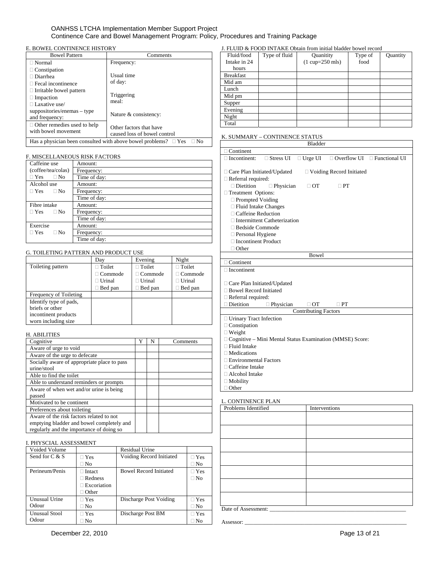#### OANHSS LTCHA Implementation Member Support Project Continence Care and Bowel Management Program: Policy, Procedures and Training Package

#### E. BOWEL CONTINENCE HISTORY

| <b>Bowel Pattern</b>                                                 | Comments                                                |  |
|----------------------------------------------------------------------|---------------------------------------------------------|--|
| $\Box$ Normal                                                        | Frequency:                                              |  |
| $\Box$ Constipation<br>⊺Diarrhea<br>$\Box$ Fecal incontinence        | Usual time<br>of day:                                   |  |
| $\Box$ Irritable bowel pattern<br>$\Box$ Impaction<br>Laxative use/  | Triggering<br>meal:                                     |  |
| $suppositories/enemas - type$<br>and frequency:                      | Nature & consistency:                                   |  |
| $\Box$ Other remedies used to help<br>with bowel movement            | Other factors that have<br>caused loss of bowel control |  |
| Has a physician been consulted with above bowel problems? $\Box$ Yes |                                                         |  |

#### F. MISCELLANEOUS RISK FACTORS

| Caffeine use            | Amount:      |
|-------------------------|--------------|
| (coffee/tea/colas)      | Frequency:   |
| $\Box$ Yes<br>$\Box$ No | Time of day: |
| Alcohol use             | Amount:      |
| $\Box$ Yes<br>$\Box$ No | Frequency:   |
|                         | Time of day: |
| Fibre intake            | Amount:      |
| $\Box$ Yes<br>$\Box$ No | Frequency:   |
|                         | Time of day: |
| Exercise                | Amount:      |
| $\Box$ Yes<br>$\Box$ No | Frequency:   |
|                         | Time of day: |

#### G. TOILETING PATTERN AND PRODUCT USE

|                        | Day            | Evening         | Night            |
|------------------------|----------------|-----------------|------------------|
| Toileting pattern      | $\Box$ Toilet  | $\Box$ Toilet   | $\sqcap$ Toilet  |
|                        | $\Box$ Commode | $\Box$ Commode  | $\sqcap$ Commode |
|                        | $\Box$ Urinal  | $\sqcap$ Urinal | $\exists$ Urinal |
|                        | Bed pan        | Bed pan         | $\Box$ Bed pan   |
| Frequency of Toileting |                |                 |                  |
| Identify type of pads, |                |                 |                  |
| briefs or other        |                |                 |                  |
| incontinent products   |                |                 |                  |
| worn including size    |                |                 |                  |

### H. ABILITIES

| Cognitive                                                                                                                         | N | Comments |
|-----------------------------------------------------------------------------------------------------------------------------------|---|----------|
| Aware of urge to void                                                                                                             |   |          |
| Aware of the urge to defecate                                                                                                     |   |          |
| Socially aware of appropriate place to pass<br>urine/stool                                                                        |   |          |
| Able to find the toilet                                                                                                           |   |          |
| Able to understand reminders or prompts                                                                                           |   |          |
| Aware of when wet and/or urine is being<br>passed                                                                                 |   |          |
| Motivated to be continent                                                                                                         |   |          |
| Preferences about toileting                                                                                                       |   |          |
| Aware of the risk factors related to not<br>emptying bladder and bowel completely and<br>regularly and the importance of doing so |   |          |

#### I. PHYSCIAL ASSESSMENT

| Voided Volume        |                    | Residual Urine                |              |
|----------------------|--------------------|-------------------------------|--------------|
| Send for $C & S$     | $\Box$ Yes         | Voiding Record Initiated      | $\sqcap$ Yes |
|                      | $\square$ No       |                               | $\square$ No |
| Perineum/Penis       | $\Box$ Intact      | <b>Bowel Record Initiated</b> | $\sqcap$ Yes |
|                      | $\Box$ Redness     |                               | $\Box$ No    |
|                      | $\Box$ Excoriation |                               |              |
|                      | $\Box$ Other       |                               |              |
| Unusual Urine        | $\Box$ Yes         | Discharge Post Voiding        | $\sqcap$ Yes |
| Odour                | $\Box$ No          |                               | $\square$ No |
| <b>Unusual Stool</b> | $\sqcap$ Yes       | Discharge Post BM             | $\sqcap$ Yes |
| Odour                | $\Box$ No          |                               | $\Box$ No    |

#### J. FLUID & FOOD INTAKE Obtain from initial bladder bowel record

| Fluid/food       | Type of fluid | Quanitity                           | Type of | Quantity |
|------------------|---------------|-------------------------------------|---------|----------|
| Intake in 24     |               | $(1 \text{ cup} = 250 \text{ mls})$ | food    |          |
| hours            |               |                                     |         |          |
| <b>Breakfast</b> |               |                                     |         |          |
| Mid am           |               |                                     |         |          |
| Lunch            |               |                                     |         |          |
| Mid pm           |               |                                     |         |          |
| Supper           |               |                                     |         |          |
| Evening          |               |                                     |         |          |
| Night            |               |                                     |         |          |
| Total            |               |                                     |         |          |

#### K. SUMMARY – CONTINENCE STATUS

|                                                            |                                     | <b>Bladder</b>              |                                         |  |  |  |
|------------------------------------------------------------|-------------------------------------|-----------------------------|-----------------------------------------|--|--|--|
| $\Box$ Continent                                           |                                     |                             |                                         |  |  |  |
| $\Box$ Incontinent:                                        | $\Box$ Stress UI                    | $\Box$ Urge UI              | $\Box$ Overflow UI $\Box$ Functional UI |  |  |  |
|                                                            |                                     |                             |                                         |  |  |  |
| □ Care Plan Initiated/Updated                              |                                     |                             | $\Box$ Voiding Record Initiated         |  |  |  |
| $\Box$ Referral required:                                  |                                     |                             |                                         |  |  |  |
| $\Box$ Dietition                                           | $\Box$ Physician                    | $\Box$ OT                   | $\Box$ PT                               |  |  |  |
| Treatment Options:                                         |                                     |                             |                                         |  |  |  |
| $\Box$ Prompted Voiding                                    |                                     |                             |                                         |  |  |  |
| $\Box$ Fluid Intake Changes                                |                                     |                             |                                         |  |  |  |
| □ Caffeine Reduction                                       |                                     |                             |                                         |  |  |  |
|                                                            | $\Box$ Intermittent Catheterization |                             |                                         |  |  |  |
| $\Box$ Bedside Commode                                     |                                     |                             |                                         |  |  |  |
| □ Personal Hygiene                                         |                                     |                             |                                         |  |  |  |
| □ Incontinent Product                                      |                                     |                             |                                         |  |  |  |
| $\Box$ Other                                               |                                     |                             |                                         |  |  |  |
|                                                            |                                     | Bowel                       |                                         |  |  |  |
| $\Box$ Continent                                           |                                     |                             |                                         |  |  |  |
| $\Box$ Incontinent                                         |                                     |                             |                                         |  |  |  |
|                                                            |                                     |                             |                                         |  |  |  |
| □ Care Plan Initiated/Updated                              |                                     |                             |                                         |  |  |  |
| □ Bowel Record Initiated                                   |                                     |                             |                                         |  |  |  |
| $\Box$ Referral required:                                  |                                     |                             |                                         |  |  |  |
| Dietition                                                  | $\Box$ Physician                    | <b>OT</b>                   | $\sqcap$ PT                             |  |  |  |
|                                                            |                                     | <b>Contributing Factors</b> |                                         |  |  |  |
| □ Urinary Tract Infection                                  |                                     |                             |                                         |  |  |  |
| $\Box$ Constipation                                        |                                     |                             |                                         |  |  |  |
| $\Box$ Weight                                              |                                     |                             |                                         |  |  |  |
| □ Cognitive - Mini Mental Status Examination (MMSE) Score: |                                     |                             |                                         |  |  |  |
| □ Fluid Intake                                             |                                     |                             |                                         |  |  |  |
| $\Box$ Medications                                         |                                     |                             |                                         |  |  |  |
| □ Environmental Factors                                    |                                     |                             |                                         |  |  |  |
| $\Box$ Caffeine Intake                                     |                                     |                             |                                         |  |  |  |
| □ Alcohol Intake                                           |                                     |                             |                                         |  |  |  |

- 
- $\Box$  <br> Mobility □ Other

### L. CONTINENCE PLAN

| Problems Identified   | Interventions |  |  |  |  |
|-----------------------|---------------|--|--|--|--|
|                       |               |  |  |  |  |
|                       |               |  |  |  |  |
|                       |               |  |  |  |  |
|                       |               |  |  |  |  |
|                       |               |  |  |  |  |
|                       |               |  |  |  |  |
|                       |               |  |  |  |  |
|                       |               |  |  |  |  |
|                       |               |  |  |  |  |
| Date of Assessment: _ |               |  |  |  |  |

Assessor: \_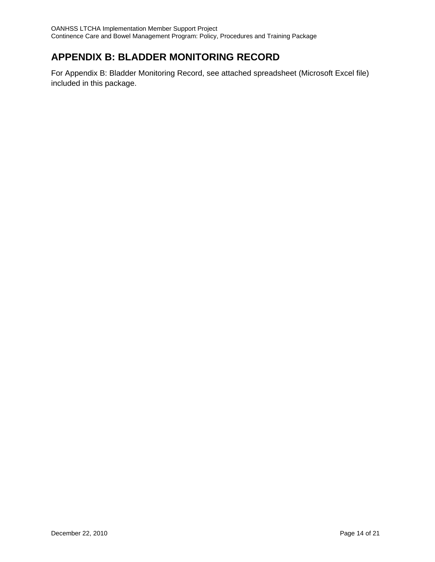## **APPENDIX B: BLADDER MONITORING RECORD**

For Appendix B: Bladder Monitoring Record, see attached spreadsheet (Microsoft Excel file) included in this package.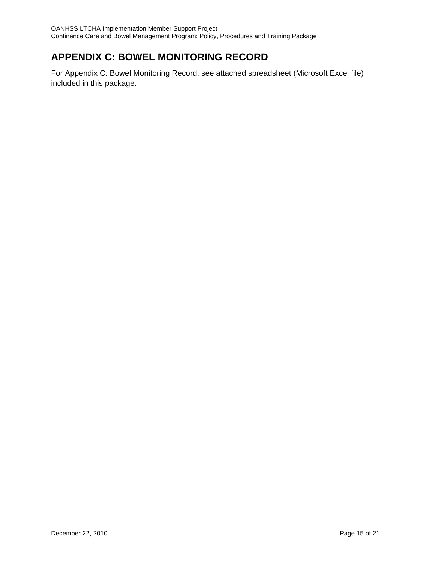## **APPENDIX C: BOWEL MONITORING RECORD**

For Appendix C: Bowel Monitoring Record, see attached spreadsheet (Microsoft Excel file) included in this package.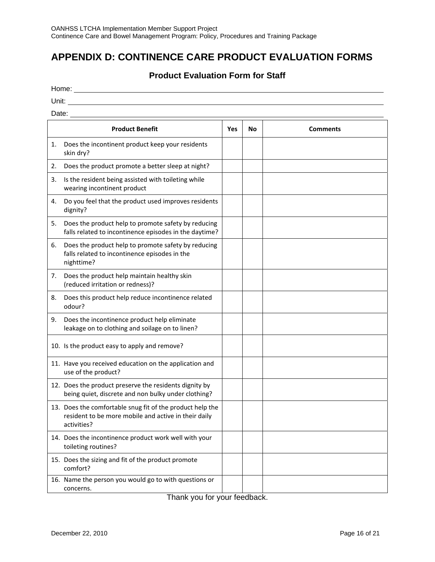## **APPENDIX D: CONTINENCE CARE PRODUCT EVALUATION FORMS**

### **Product Evaluation Form for Staff**

| IOME |  |
|------|--|
|      |  |

Unit:

Date: <u>the contract of the contract of the contract of the contract of the contract of the contract of the contract of the contract of the contract of the contract of the contract of the contract of the contract of the con</u>

| <b>Product Benefit</b> |                                                                                                                                  | Yes | No | <b>Comments</b> |
|------------------------|----------------------------------------------------------------------------------------------------------------------------------|-----|----|-----------------|
| 1.                     | Does the incontinent product keep your residents<br>skin dry?                                                                    |     |    |                 |
| 2.                     | Does the product promote a better sleep at night?                                                                                |     |    |                 |
| 3.                     | Is the resident being assisted with toileting while<br>wearing incontinent product                                               |     |    |                 |
| 4.                     | Do you feel that the product used improves residents<br>dignity?                                                                 |     |    |                 |
| 5.                     | Does the product help to promote safety by reducing<br>falls related to incontinence episodes in the daytime?                    |     |    |                 |
| 6.                     | Does the product help to promote safety by reducing<br>falls related to incontinence episodes in the<br>nighttime?               |     |    |                 |
| 7.                     | Does the product help maintain healthy skin<br>(reduced irritation or redness)?                                                  |     |    |                 |
| 8.                     | Does this product help reduce incontinence related<br>odour?                                                                     |     |    |                 |
| 9.                     | Does the incontinence product help eliminate<br>leakage on to clothing and soilage on to linen?                                  |     |    |                 |
|                        | 10. Is the product easy to apply and remove?                                                                                     |     |    |                 |
|                        | 11. Have you received education on the application and<br>use of the product?                                                    |     |    |                 |
|                        | 12. Does the product preserve the residents dignity by<br>being quiet, discrete and non bulky under clothing?                    |     |    |                 |
|                        | 13. Does the comfortable snug fit of the product help the<br>resident to be more mobile and active in their daily<br>activities? |     |    |                 |
|                        | 14. Does the incontinence product work well with your<br>toileting routines?                                                     |     |    |                 |
|                        | 15. Does the sizing and fit of the product promote<br>comfort?                                                                   |     |    |                 |
|                        | 16. Name the person you would go to with questions or<br>concerns.                                                               |     |    |                 |

Thank you for your feedback.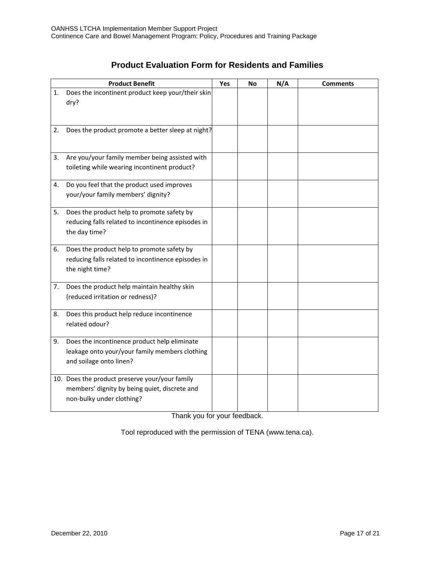| <b>Product Evaluation Form for Residents and Families</b> |  |  |  |  |
|-----------------------------------------------------------|--|--|--|--|
|-----------------------------------------------------------|--|--|--|--|

|    | <b>Product Benefit</b>                                              | Yes | No | N/A | <b>Comments</b> |
|----|---------------------------------------------------------------------|-----|----|-----|-----------------|
| 1. | Does the incontinent product keep your/their skin                   |     |    |     |                 |
|    | dry?                                                                |     |    |     |                 |
|    |                                                                     |     |    |     |                 |
| 2. | Does the product promote a better sleep at night?                   |     |    |     |                 |
|    |                                                                     |     |    |     |                 |
|    |                                                                     |     |    |     |                 |
| 3. | Are you/your family member being assisted with                      |     |    |     |                 |
|    | toileting while wearing incontinent product?                        |     |    |     |                 |
| 4. | Do you feel that the product used improves                          |     |    |     |                 |
|    | your/your family members' dignity?                                  |     |    |     |                 |
|    |                                                                     |     |    |     |                 |
| 5. | Does the product help to promote safety by                          |     |    |     |                 |
|    | reducing falls related to incontinence episodes in<br>the day time? |     |    |     |                 |
|    |                                                                     |     |    |     |                 |
| 6. | Does the product help to promote safety by                          |     |    |     |                 |
|    | reducing falls related to incontinence episodes in                  |     |    |     |                 |
|    | the night time?                                                     |     |    |     |                 |
| 7. | Does the product help maintain healthy skin                         |     |    |     |                 |
|    | (reduced irritation or redness)?                                    |     |    |     |                 |
|    |                                                                     |     |    |     |                 |
| 8. | Does this product help reduce incontinence<br>related odour?        |     |    |     |                 |
|    |                                                                     |     |    |     |                 |
| 9. | Does the incontinence product help eliminate                        |     |    |     |                 |
|    | leakage onto your/your family members clothing                      |     |    |     |                 |
|    | and soilage onto linen?                                             |     |    |     |                 |
|    | 10. Does the product preserve your/your family                      |     |    |     |                 |
|    | members' dignity by being quiet, discrete and                       |     |    |     |                 |
|    | non-bulky under clothing?                                           |     |    |     |                 |
|    |                                                                     |     |    |     |                 |

Thank you for your feedback.

Tool reproduced with the permission of TENA (www.tena.ca).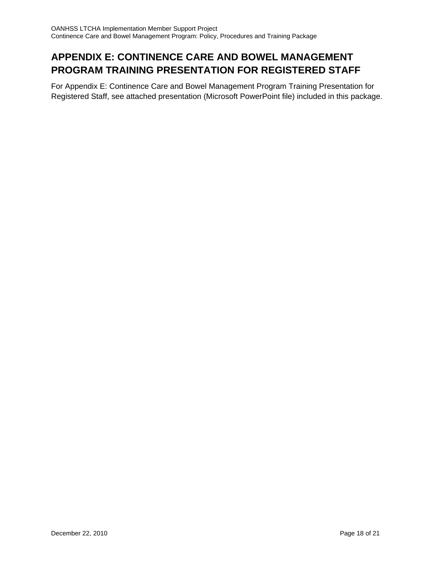## **APPENDIX E: CONTINENCE CARE AND BOWEL MANAGEMENT PROGRAM TRAINING PRESENTATION FOR REGISTERED STAFF**

For Appendix E: Continence Care and Bowel Management Program Training Presentation for Registered Staff, see attached presentation (Microsoft PowerPoint file) included in this package.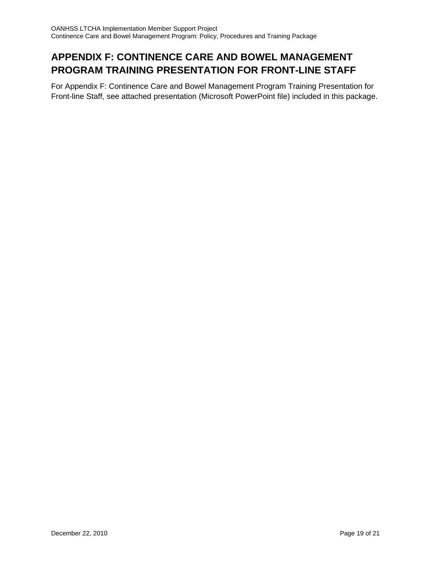## **APPENDIX F: CONTINENCE CARE AND BOWEL MANAGEMENT PROGRAM TRAINING PRESENTATION FOR FRONT-LINE STAFF**

For Appendix F: Continence Care and Bowel Management Program Training Presentation for Front-line Staff, see attached presentation (Microsoft PowerPoint file) included in this package.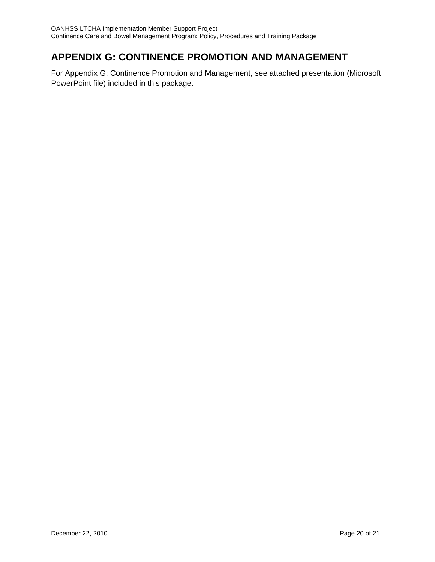## **APPENDIX G: CONTINENCE PROMOTION AND MANAGEMENT**

For Appendix G: Continence Promotion and Management, see attached presentation (Microsoft PowerPoint file) included in this package.